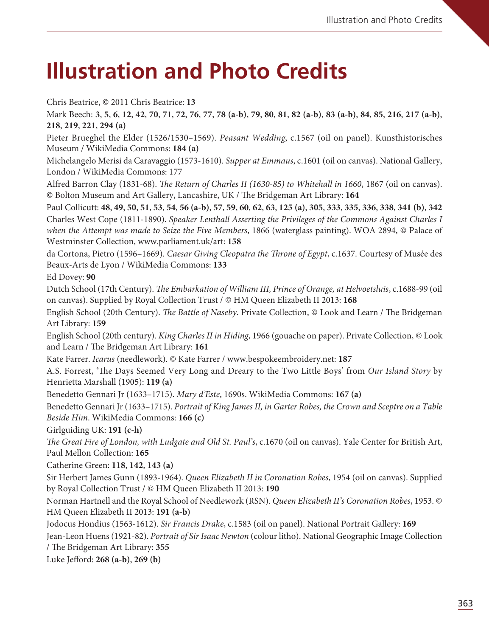# **Illustration and Photo Credits**

Chris Beatrice, © 2011 Chris Beatrice: **13** Mark Beech: 3, 5, 6, 12, 42, 70, 71, 72, 76, 77, 78 (a-b), 79, 80, 81, 82 (a-b), 83 (a-b), 84, 85, 216, 217 (a-b), **218**, **219**, **221**, **294 (a)** Pieter Brueghel the Elder (1526/1530–1569). Peasant Wedding, c.1567 (oil on panel). Kunsthistorisches Museum / WikiMedia Commons: **184 (a)** Michelangelo Merisi da Caravaggio (1573-1610). Supper at Emmaus, c.1601 (oil on canvas). National Gallery, London / WikiMedia Commons: 177 Alfred Barron Clay (1831-68). The Return of Charles II (1630-85) to Whitehall in 1660, 1867 (oil on canvas). © Bolton Museum and Art Gallery, Lancashire, UK / The Bridgeman Art Library: 164 Paul Collicutt: 48, 49, 50, 51, 53, 54, 56 (a-b), 57, 59, 60, 62, 63, 125 (a), 305, 333, 335, 336, 338, 341 (b), 342 Charles West Cope (1811-1890). Speaker Lenthall Asserting the Privileges of the Commons Against Charles I when the Attempt was made to Seize the Five Members, 1866 (waterglass painting). WOA 2894, © Palace of Westminster Collection, www.parliament.uk/art: **158** da Cortona, Pietro (1596-1669). Caesar Giving Cleopatra the Throne of Egypt, c.1637. Courtesy of Musée des Beaux-Arts de Lyon / WikiMedia Commons: **133** Ed Dovey: **90** Dutch School (17th Century). The Embarkation of William III, Prince of Orange, at Helvoetsluis, c.1688-99 (oil on canvas). Supplied by Royal Collection Trust / © HM Queen Elizabeth II 2013: **168** English School (20th Century). The Battle of Naseby. Private Collection, © Look and Learn / The Bridgeman Art Library: **159** English School (20th century). King Charles II in Hiding, 1966 (gouache on paper). Private Collection, © Look and Learn / The Bridgeman Art Library: 161 Kate Farrer. Icarus (needlework). © Kate Farrer / www.bespokeembroidery.net: **187** A.S. Forrest, 'The Days Seemed Very Long and Dreary to the Two Little Boys' from Our Island Story by Henrietta Marshall (1905): **119 (a)** Benedetto Gennari Jr (1633–1715). Mary d'Este, 1690s. WikiMedia Commons: **167 (a)** Benedetto Gennari Jr (1633–1715). Portrait of King James II, in Garter Robes, the Crown and Sceptre on a Table Beside Him. WikiMedia Commons: **166 (c)** Girlguiding UK: **191 (c-h)** The Great Fire of London, with Ludgate and Old St. Paul's, c.1670 (oil on canvas). Yale Center for British Art, Paul Mellon Collection: **165** Catherine Green: **118**, **142**, **143 (a)** Sir Herbert James Gunn (1893-1964). Queen Elizabeth II in Coronation Robes, 1954 (oil on canvas). Supplied by Royal Collection Trust / © HM Queen Elizabeth II 2013: **190** Norman Hartnell and the Royal School of Needlework (RSN). Queen Elizabeth II's Coronation Robes, 1953. © HM Queen Elizabeth II 2013: **191 (a-b)** Jodocus Hondius (1563-1612). Sir Francis Drake, c.1583 (oil on panel). National Portrait Gallery: **169** Jean-Leon Huens (1921-82). Portrait of Sir Isaac Newton (colour litho). National Geographic Image Collection / The Bridgeman Art Library: 355 Luke Jefford: **268 (a-b)**, **269 (b)**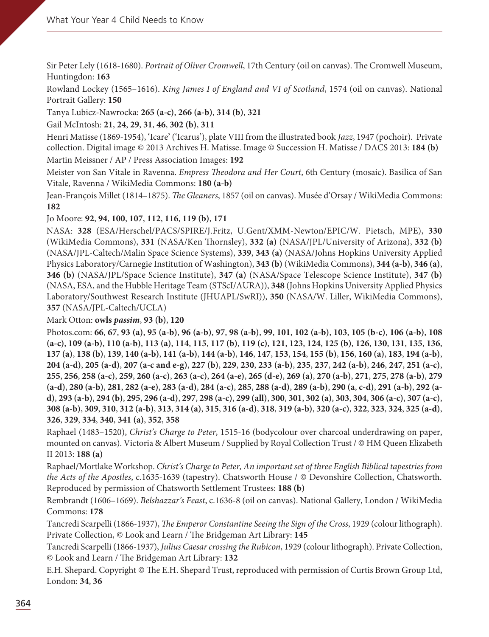Sir Peter Lely (1618-1680). Portrait of Oliver Cromwell, 17th Century (oil on canvas). The Cromwell Museum, Huntingdon: **163**

Rowland Lockey (1565–1616). King James I of England and VI of Scotland, 1574 (oil on canvas). National Portrait Gallery: **150**

Tanya Lubicz-Nawrocka: **265 (a-c)**, **266 (a-b)**, **314 (b)**, **321**

Gail McIntosh: **21**, **24**, **29**, **31**, **46**, **302 (b)**, **311**

Henri Matisse (1869-1954), 'Icare' ('Icarus'), plate VIII from the illustrated book Jazz, 1947 (pochoir). Private collection. Digital image © 2013 Archives H. Matisse. Image © Succession H. Matisse / DACS 2013: **184 (b)**

Martin Meissner / AP / Press Association Images: **192**

Meister von San Vitale in Ravenna. Empress Theodora and Her Court, 6th Century (mosaic). Basilica of San Vitale, Ravenna / WikiMedia Commons: **180 (a-b)**

Jean-François Millet (1814-1875). The Gleaners, 1857 (oil on canvas). Musée d'Orsay / WikiMedia Commons: **182**

Jo Moore: **92**, **94**, **100**, **107**, **112**, **116**, **119 (b)**, **171**

NASA: **328** (ESA/Herschel/PACS/SPIRE/J.Fritz, U.Gent/XMM-Newton/EPIC/W. Pietsch, MPE), **330** (WikiMedia Commons), 331 (NASA/Ken Thornsley), 332 (a) (NASA/JPL/University of Arizona), 332 (b) (NASA/JPL-Caltech/Malin Space Science Systems), **339**, **343 (a)** (NASA/Johns Hopkins University Applied Physics Laboratory/Carnegie Institution of Washington), **343 (b)** (WikiMedia Commons), **344 (a-b)**, **346 (a)**, **346 (b)** (NASA/JPL/Space Science Institute), **347 (a)** (NASA/Space Telescope Science Institute), **347 (b)** (NASA, ESA, and the Hubble Heritage Team (STScI/AURA)), **348** (Johns Hopkins University Applied Physics Laboratory/Southwest Research Institute (JHUAPL/SwRI)), **350** (NASA/W. Liller, WikiMedia Commons), **357** (NASA/JPL-Caltech/UCLA)

Mark Otton: **owls** *passim*, **93 (b)**, **120**

Photos.com: **66**, **67**, **93 (a)**, **95 (a-b)**, **96 (a-b)**, **97**, **98 (a-b)**, **99**, **101**, **102 (a-b)**, **103**, **105 (b-c)**, **106 (a-b)**, **108**  $(a-c)$ , 109  $(a-b)$ , 110  $(a-b)$ , 113  $(a)$ , 114, 115, 117  $(b)$ , 119  $(c)$ , 121, 123, 124, 125  $(b)$ , 126, 130, 131, 135, 136, **137 (a)**, **138 (b)**, **139**, **140 (a-b)**, **141 (a-b)**, **144 (a-b)**, **146**, **147**, **153**, **154**, **155 (b)**, **156**, **160 (a)**, **183**, **194 (a-b)**, **204 (a-d)**, **205 (a-d)**, **207 (a-c and e-g)**, **227 (b)**, **229**, **230**, **233 (a-b)**, **235**, **237**, **242 (a-b)**, **246**, **247**, **251 (a-c)**, **255**, **256**, **258 (a-c)**, **259**, **260 (a-c)**, **263 (a-c)**, **264 (a-e)**, **265 (d-e)**, **269 (a)**, **270 (a-b)**, **271**, **275**, **278 (a-b)**, **279 (a-d)**, **280 (a-b)**, **281**, **282 (a-e)**, **283 (a-d)**, **284 (a-c)**, **285**, **288 (a-d)**, **289 (a-b)**, **290 (a**, **c-d)**, **291 (a-b)**, **292 (ad)**, **293 (a-b)**, **294 (b)**, **295**, **296 (a-d)**, **297**, **298 (a-c)**, **299 (all)**, **300**, **301**, **302 (a)**, **303**, **304**, **306 (a-c)**, **307 (a-c)**, **308 (a-b)**, **309**, **310**, **312 (a-b)**, **313**, **314 (a)**, **315**, **316 (a-d)**, **318**, **319 (a-b)**, **320 (a-c)**, **322**, **323**, **324**, **325 (a-d)**, **326**, **329**, **334**, **340**, **341 (a)**, **352**, **358**

Raphael (1483–1520), Christ's Charge to Peter, 1515-16 (bodycolour over charcoal underdrawing on paper, mounted on canvas). Victoria & Albert Museum / Supplied by Royal Collection Trust / © HM Queen Elizabeth II 2013: **188 (a)**

Raphael/Mortlake Workshop. Christ's Charge to Peter, An important set of three English Biblical tapestries from the Acts of the Apostles, c.1635-1639 (tapestry). Chatsworth House / © Devonshire Collection, Chatsworth. Reproduced by permission of Chatsworth Settlement Trustees: **188 (b)**

Rembrandt (1606–1669). Belshazzar's Feast, c.1636-8 (oil on canvas). National Gallery, London / WikiMedia Commons: **178**

Tancredi Scarpelli (1866-1937), The Emperor Constantine Seeing the Sign of the Cross, 1929 (colour lithograph). Private Collection, © Look and Learn / The Bridgeman Art Library: 145

Tancredi Scarpelli (1866-1937), Julius Caesar crossing the Rubicon, 1929 (colour lithograph). Private Collection, © Look and Learn / The Bridgeman Art Library: 132

E.H. Shepard. Copyright © The E.H. Shepard Trust, reproduced with permission of Curtis Brown Group Ltd, London: **34**, **36**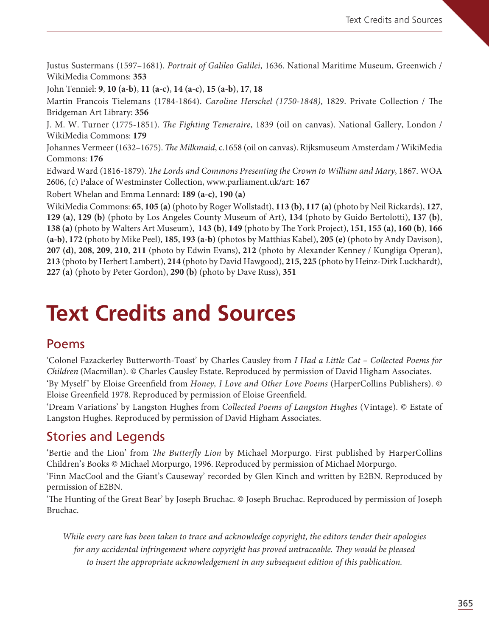Justus Sustermans (1597–1681). Portrait of Galileo Galilei, 1636. National Maritime Museum, Greenwich / WikiMedia Commons: **353**

John Tenniel: **9**, **10 (a-b)**, **11 (a-c)**, **14 (a-c)**, **15 (a-b)**, **17**, **18**

Martin Francois Tielemans (1784-1864). Caroline Herschel (1750-1848), 1829. Private Collection / The Bridgeman Art Library: **356**

J. M. W. Turner (1775-1851). The Fighting Temeraire, 1839 (oil on canvas). National Gallery, London / WikiMedia Commons: **179**

Johannes Vermeer (1632–1675). The Milkmaid, c.1658 (oil on canvas). Rijksmuseum Amsterdam / WikiMedia Commons: **176**

Edward Ward (1816-1879). The Lords and Commons Presenting the Crown to William and Mary, 1867. WOA 2606, (c) Palace of Westminster Collection, www.parliament.uk/art: **167**

Robert Whelan and Emma Lennard: **189 (a-c)**, **190 (a)**

WikiMedia Commons: **65**, **105 (a)** (photo by Roger Wollstadt), **113 (b)**, **117 (a)** (photo by Neil Rickards), **127**, **129 (a)**, **129 (b)** (photo by Los Angeles County Museum of Art), **134** (photo by Guido Bertolotti), **137 (b)**, **138 (a)** (photo by Walters Art Museum), **143 (b)**, **149** (photo by The York Project), **151**, **155 (a)**, **160 (b)**, **166 (a-b)**, **172** (photo by Mike Peel), **185**, **193 (a-b)** (photos by Matthias Kabel), **205 (e)** (photo by Andy Davison), **207 (d)**, **208**, **209**, **210**, **211** (photo by Edwin Evans), **212** (photo by Alexander Kenney / Kungliga Operan), **213** (photo by Herbert Lambert), **214** (photo by David Hawgood), **215**, **225** (photo by Heinz-Dirk Luckhardt), **227 (a)** (photo by Peter Gordon), **290 (b)** (photo by Dave Russ), **351**

## **Text Credits and Sources**

#### Poems

'Colonel Fazackerley Butterworth-Toast' by Charles Causley from I Had a Little Cat – Collected Poems for Children (Macmillan). © Charles Causley Estate. Reproduced by permission of David Higham Associates. 'By Myself ' by Eloise Greenfield from Honey, I Love and Other Love Poems (HarperCollins Publishers). © Eloise Greenfield 1978. Reproduced by permission of Eloise Greenfield.

'Dream Variations' by Langston Hughes from Collected Poems of Langston Hughes (Vintage). © Estate of Langston Hughes. Reproduced by permission of David Higham Associates.

### Stories and Legends

'Bertie and the Lion' from The Butterfly Lion by Michael Morpurgo. First published by HarperCollins Children's Books © Michael Morpurgo, 1996. Reproduced by permission of Michael Morpurgo.

'Finn MacCool and the Giant's Causeway' recorded by Glen Kinch and written by E2BN. Reproduced by permission of E2BN.

'The Hunting of the Great Bear' by Joseph Bruchac. © Joseph Bruchac. Reproduced by permission of Joseph Bruchac.

While every care has been taken to trace and acknowledge copyright, the editors tender their apologies for any accidental infringement where copyright has proved untraceable. They would be pleased to insert the appropriate acknowledgement in any subsequent edition of this publication.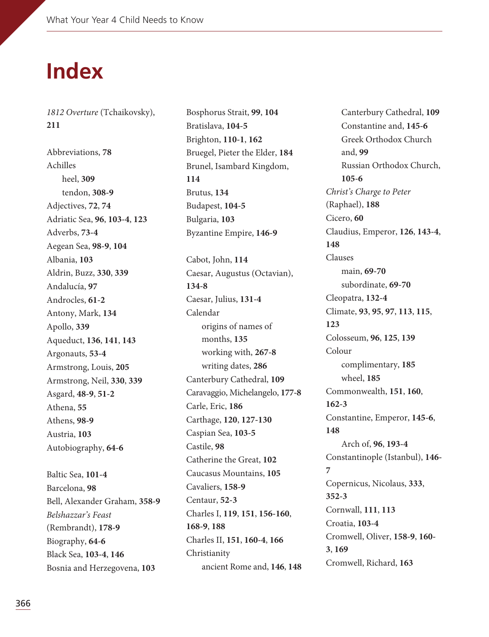## **Index**

1812 Overture (Tchaikovsky), **211**

Abbreviations, **78** Achilles heel, **309** tendon, **308-9** Adjectives, **72**, **74** Adriatic Sea, **96**, **103-4**, **123** Adverbs, **73-4** Aegean Sea, **98-9**, **104** Albania, **103** Aldrin, Buzz, **330**, **339** Andalucía, **97** Androcles, **61-2** Antony, Mark, **134** Apollo, **339** Aqueduct, **136**, **141**, **143** Argonauts, **53-4** Armstrong, Louis, **205** Armstrong, Neil, **330**, **339** Asgard, **48-9**, **51-2** Athena, **55** Athens, **98-9** Austria, **103** Autobiography, **64-6** Baltic Sea, **101-4** Barcelona, **98** Bell, Alexander Graham, **358-9** Belshazzar's Feast

(Rembrandt), **178-9** Biography, **64-6** Black Sea, **103-4**, **146** Bosnia and Herzegovena, **103** Bosphorus Strait, **99**, **104** Bratislava, **104-5** Brighton, **110-1**, **162** Bruegel, Pieter the Elder, **184** Brunel, Isambard Kingdom, **114** Brutus, **134** Budapest, **104-5** Bulgaria, **103** Byzantine Empire, **146-9**

Cabot, John, **114** Caesar, Augustus (Octavian), **134-8** Caesar, Julius, **131-4** Calendar origins of names of months, **135** working with, **267-8** writing dates, **286** Canterbury Cathedral, **109** Caravaggio, Michelangelo, **177-8** Carle, Eric, **186** Carthage, **120**, **127-130** Caspian Sea, **103-5** Castile, **98** Catherine the Great, **102** Caucasus Mountains, **105** Cavaliers, **158-9** Centaur, **52-3** Charles I, **119**, **151**, **156-160**, **168-9**, **188** Charles II, **151**, **160-4**, **166** Christianity ancient Rome and, **146**, **148**

Canterbury Cathedral, **109** Constantine and, **145-6** Greek Orthodox Church and, **99** Russian Orthodox Church, **105-6** Christ's Charge to Peter (Raphael), **188** Cicero, **60** Claudius, Emperor, **126**, **143-4**, **148** Clauses main, **69-70** subordinate, **69-70** Cleopatra, **132-4** Climate, **93**, **95**, **97**, **113**, **115**, **123** Colosseum, **96**, **125**, **139** Colour complimentary, **185** wheel, **185** Commonwealth, **151**, **160**, **162-3** Constantine, Emperor, **145-6**, **148** Arch of, **96**, **193-4**  Constantinople (Istanbul), **146- 7** Copernicus, Nicolaus, **333**, **352-3** Cornwall, **111**, **113** Croatia, **103-4** Cromwell, Oliver, **158-9**, **160- 3**, **169** Cromwell, Richard, **163**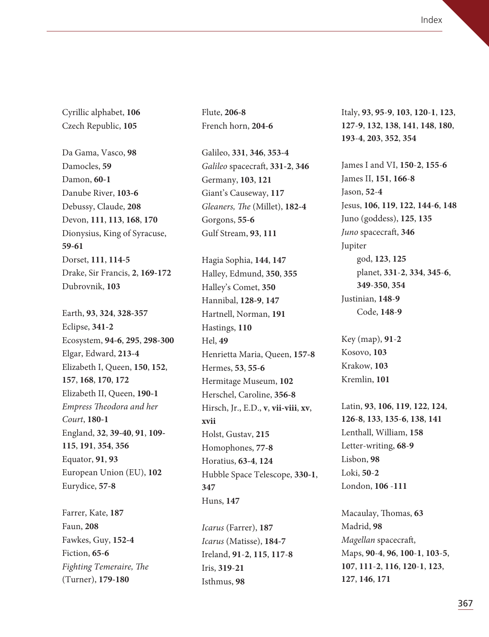Cyrillic alphabet, **106** Czech Republic, **105**

Da Gama, Vasco, **98** Damocles, **59** Damon, **60-1** Danube River, **103-6** Debussy, Claude, **208** Devon, **111**, **113**, **168**, **170** Dionysius, King of Syracuse, **59-61** Dorset, **111**, **114-5** Drake, Sir Francis, **2**, **169-172** Dubrovnik, **103** Earth, **93**, **324**, **328-357** Eclipse, **341-2** Ecosystem, **94-6**, **295**, **298-300** Elgar, Edward, **213-4** Elizabeth I, Queen, **150**, **152**, **157**, **168**, **170**, **172** Elizabeth II, Queen, **190-1** Empress Theodora and her Court, **180-1** England, **32**, **39-40**, **91**, **109- 115**, **191**, **354**, **356** Equator, **91**, **93** European Union (EU), **102** Eurydice, **57-8**

Farrer, Kate, **187** Faun, **208** Fawkes, Guy, **152-4** Fiction, **65-6** Fighting Temeraire, The (Turner), **179-180**

Flute, **206-8** French horn, **204-6**

Galileo, **331**, **346**, **353-4** Galileo spacecraft, 331-2, 346 Germany, **103**, **121** Giant's Causeway, **117** Gleaners, The (Millet), 182-4 Gorgons, **55-6** Gulf Stream, **93**, **111**

Hagia Sophia, **144**, **147** Halley, Edmund, **350**, **355** Halley's Comet, **350** Hannibal, **128-9**, **147** Hartnell, Norman, **191** Hastings, **110** Hel, **49** Henrietta Maria, Queen, **157-8** Hermes, **53**, **55-6** Hermitage Museum, **102** Herschel, Caroline, **356-8** Hirsch, Jr., E.D., **v**, **vii-viii**, **xv**, **xvii** Holst, Gustav, **215** Homophones, **77-8** Horatius, **63-4**, **124** Hubble Space Telescope, **330-1**, **347** Huns, **147**

Icarus (Farrer), **187** Icarus (Matisse), **184-7** Ireland, **91**-**2**, **115**, **117**-**8** Iris, **319**-**21** Isthmus, **98**

Italy, **93**, **95**-**9**, **103**, **120**-**1**, **123**, **127**-**9**, **132**, **138**, **141**, **148**, **180**, **193**-**4**, **203**, **352**, **354**

James I and VI, **150**-**2**, **155**-**6** James II, **151**, **166**-**8** Jason, **52**-**4** Jesus, **106**, **119**, **122**, **144**-**6**, **148** Juno (goddess), **125**, **135** Juno spacecraft, 346 Jupiter god, **123**, **125** planet, **331**-**2**, **334**, **345**-**6**, **349**-**350**, **354** Justinian, **148**-**9** Code, **148**-**9**

Key (map), **91**-**2** Kosovo, **103** Krakow, **103** Kremlin, **101**

Latin, **93**, **106**, **119**, **122**, **124**, **126**-**8**, **133**, **135**-**6**, **138**, **141** Lenthall, William, **158** Letter-writing, **68**-**9** Lisbon, **98** Loki, **50**-**2** London, **106** -**111**

Macaulay, Thomas, 63 Madrid, **98** Magellan spacecraft, Maps, **90**-**4**, **96**, **100**-**1**, **103**-**5**, **107**, **111**-**2**, **116**, **120**-**1**, **123**, **127**, **146**, **171**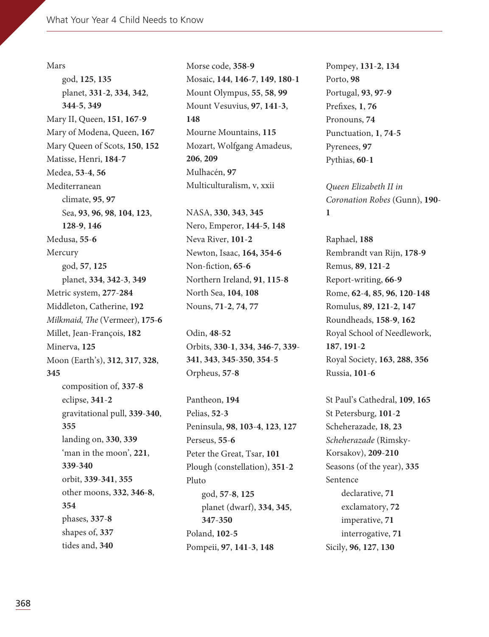Mars god, **125**, **135** planet, **331**-**2**, **334**, **342**, **344**-**5**, **349** Mary II, Queen, **151**, **167**-**9** Mary of Modena, Queen, **167** Mary Queen of Scots, **150**, **152** Matisse, Henri, **184**-**7** Medea, **53**-**4**, **56** Mediterranean climate, **95**, **97** Sea, **93**, **96**, **98**, **104**, **123**, **128**-**9**, **146** Medusa, **55**-**6** Mercury god, **57**, **125** planet, **334**, **342**-**3**, **349** Metric system, **277**-**284** Middleton, Catherine, **192** Milkmaid, The (Vermeer), 175-6 Millet, Jean-François, **182** Minerva, **125** Moon (Earth's), **312**, **317**, **328**, **345** composition of, **337**-**8** eclipse, **341**-**2** gravitational pull, **339**-**340**, **355** landing on, **330**, **339** 'man in the moon', **221**, **339**-**340** orbit, **339**-**341**, **355** other moons, **332**, **346**-**8**, **354** phases, **337**-**8** shapes of, **337** tides and, **340**

Morse code, **358**-**9** Mosaic, **144**, **146**-**7**, **149**, **180**-**1** Mount Olympus, **55**, **58**, **99** Mount Vesuvius, **97**, **141**-**3**, **148** Mourne Mountains, **115** Mozart, Wolfgang Amadeus, **206**, **209** Mulhacén, **97** Multiculturalism, v, xxii

NASA, **330**, **343**, **345** Nero, Emperor, **144**-**5**, **148** Neva River, **101**-**2** Newton, Isaac, **164, 354-6** Non-fiction, **65**-**6** Northern Ireland, **91**, **115**-**8** North Sea, **104**, **108** Nouns, **71**-**2**, **74**, **77**

Odin, **48**-**52** Orbits, **330**-**1**, **334**, **346**-**7**, **339**- **341**, **343**, **345**-**350**, **354**-**5** Orpheus, **57**-**8**

Pantheon, **194** Pelias, **52**-**3** Peninsula, **98**, **103**-**4**, **123**, **127** Perseus, **55**-**6** Peter the Great, Tsar, **101** Plough (constellation), **351**-**2** Pluto god, **57**-**8**, **125** planet (dwarf), **334**, **345**, **347**-**350** Poland, **102**-**5** Pompeii, **97**, **141**-**3**, **148**

Pompey, **131**-**2**, **134** Porto, **98** Portugal, **93**, **97**-**9** Prefixes, **1**, **76** Pronouns, **74** Punctuation, **1**, **74**-**5** Pyrenees, **97** Pythias, **60**-**1**

Queen Elizabeth II in Coronation Robes (Gunn), **190**- **1**

Raphael, **188** Rembrandt van Rijn, **178**-**9** Remus, **89**, **121**-**2** Report-writing, **66**-**9** Rome, **62**-**4**, **85**, **96**, **120**-**148** Romulus, **89**, **121**-**2**, **147** Roundheads, **158**-**9**, **162** Royal School of Needlework, **187**, **191**-**2** Royal Society, **163**, **288**, **356** Russia, **101**-**6**

St Paul's Cathedral, **109**, **165** St Petersburg, **101**-**2** Scheherazade, **18**, **23** Scheherazade (Rimsky-Korsakov), **209**-**210** Seasons (of the year), **335** Sentence declarative, **71** exclamatory, **72** imperative, **71** interrogative, **71** Sicily, **96**, **127**, **130**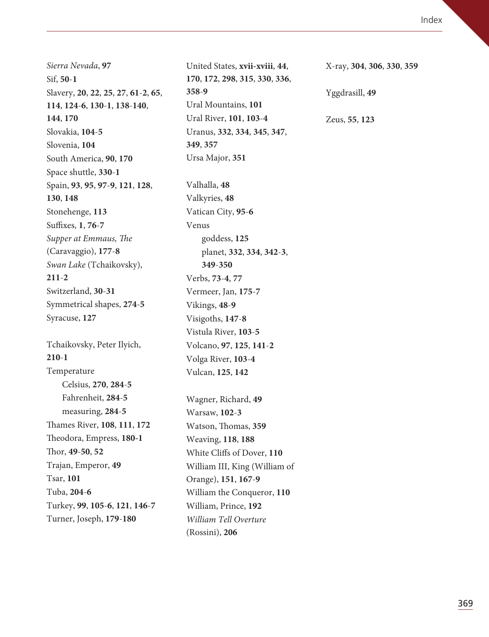Sierra Nevada, **97** Sif, **50**-**1** Slavery, **20**, **22**, **25**, **27**, **61**-**2**, **65**, **114**, **124**-**6**, **130**-**1**, **138**-**140**, **144**, **170** Slovakia, **104**-**5** Slovenia, **104** South America, **90**, **170** Space shuttle, **330**-**1** Spain, **93**, **95**, **97**-**9**, **121**, **128**, **130**, **148** Stonehenge, **113** Suffixes, **1**, **76**-**7** Supper at Emmaus, The (Caravaggio), **177**-**8** Swan Lake (Tchaikovsky), **211**-**2** Switzerland, **30**-**31** Symmetrical shapes, **274**-**5** Syracuse, **127** Tchaikovsky, Peter Ilyich, **210**-**1** Temperature Celsius, **270**, **284**-**5** Fahrenheit, **284**-**5** measuring, **284**-**5** ames River, **108**, **111**, **172** eodora, Empress, **180-1** or, **49**-**50**, **52** Trajan, Emperor, **49** Tsar, **101** Tuba, **204**-**6**

Turkey, **99**, **105**-**6**, **121**, **146**-**7** Turner, Joseph, **179**-**180**

United States, **xvii-xviii**, **44**, **170**, **172**, **298**, **315**, **330**, **336**, **358**-**9** Ural Mountains, **101** Ural River, **101**, **103**-**4** Uranus, **332**, **334**, **345**, **347**, **349**, **357** Ursa Major, **351** Valhalla, **48** Valkyries, **48** Vatican City, **95**-**6** Venus goddess, **125** planet, **332**, **334**, **342**-**3**, **349**-**350** Verbs, **73**-**4**, **77** Vermeer, Jan, **175**-**7** Vikings, **48**-**9** Visigoths, **147**-**8** Vistula River, **103**-**5** Volcano, **97**, **125**, **141**-**2** Volga River, **103**-**4** Vulcan, **125**, **142** Wagner, Richard, **49** Warsaw, **102**-**3** Watson, Thomas, 359 Weaving, **118**, **188** White Cliffs of Dover, **110** William III, King (William of Orange), **151**, **167**-**9** William the Conqueror, **110** William, Prince, **192** William Tell Overture (Rossini), **206**

X-ray, **304**, **306**, **330**, **359**

Yggdrasill, **49**

Zeus, **55**, **123**